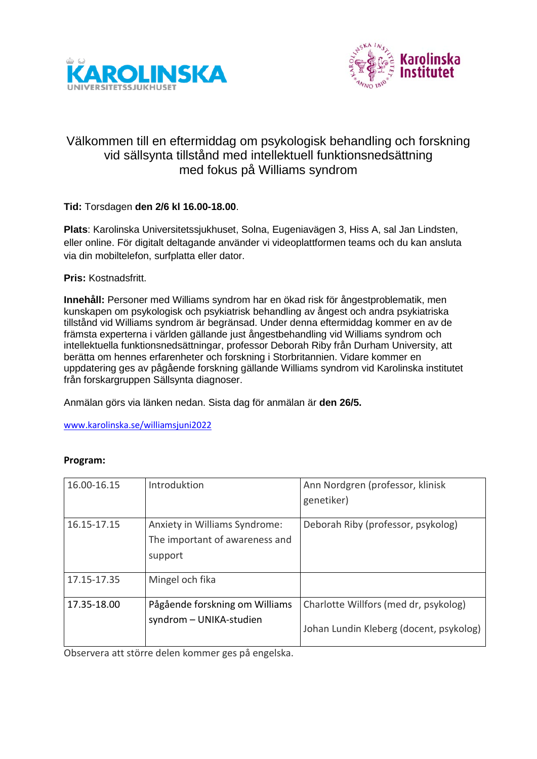



## Välkommen till en eftermiddag om psykologisk behandling och forskning vid sällsynta tillstånd med intellektuell funktionsnedsättning med fokus på Williams syndrom

## **Tid:** Torsdagen **den 2/6 kl 16.00-18.00**.

**Plats**: Karolinska Universitetssjukhuset, Solna, Eugeniavägen 3, Hiss A, sal Jan Lindsten, eller online. För digitalt deltagande använder vi videoplattformen teams och du kan ansluta via din mobiltelefon, surfplatta eller dator.

**Pris:** Kostnadsfritt.

**Innehåll:** Personer med Williams syndrom har en ökad risk för ångestproblematik, men kunskapen om psykologisk och psykiatrisk behandling av ångest och andra psykiatriska tillstånd vid Williams syndrom är begränsad. Under denna eftermiddag kommer en av de främsta experterna i världen gällande just ångestbehandling vid Williams syndrom och intellektuella funktionsnedsättningar, professor Deborah Riby från Durham University, att berätta om hennes erfarenheter och forskning i Storbritannien. Vidare kommer en uppdatering ges av pågående forskning gällande Williams syndrom vid Karolinska institutet från forskargruppen Sällsynta diagnoser.

Anmälan görs via länken nedan. Sista dag för anmälan är **den 26/5.**

[www.karolinska.se/williamsjuni2022](https://eur01.safelinks.protection.outlook.com/?url=http%3A%2F%2Fwww.karolinska.se%2Fwilliamsjuni2022&data=05%7C01%7Ccharlotte.willfors%40ki.se%7Ccd6ba1fec47b450efc5c08da2e9e48b6%7Cbff7eef1cf4b4f32be3da1dda043c05d%7C0%7C0%7C637873554599724969%7CUnknown%7CTWFpbGZsb3d8eyJWIjoiMC4wLjAwMDAiLCJQIjoiV2luMzIiLCJBTiI6Ik1haWwiLCJXVCI6Mn0%3D%7C3000%7C%7C%7C&sdata=zsXOkXxc1ydAVYxi4X8jdCtyajgLu3oxQ%2FViOc%2ByqAI%3D&reserved=0)

## **Program:**

| 16.00-16.15 | Introduktion                                                               | Ann Nordgren (professor, klinisk<br>genetiker)                                   |
|-------------|----------------------------------------------------------------------------|----------------------------------------------------------------------------------|
| 16.15-17.15 | Anxiety in Williams Syndrome:<br>The important of awareness and<br>support | Deborah Riby (professor, psykolog)                                               |
| 17.15-17.35 | Mingel och fika                                                            |                                                                                  |
| 17.35-18.00 | Pågående forskning om Williams<br>syndrom - UNIKA-studien                  | Charlotte Willfors (med dr, psykolog)<br>Johan Lundin Kleberg (docent, psykolog) |

Observera att större delen kommer ges på engelska.